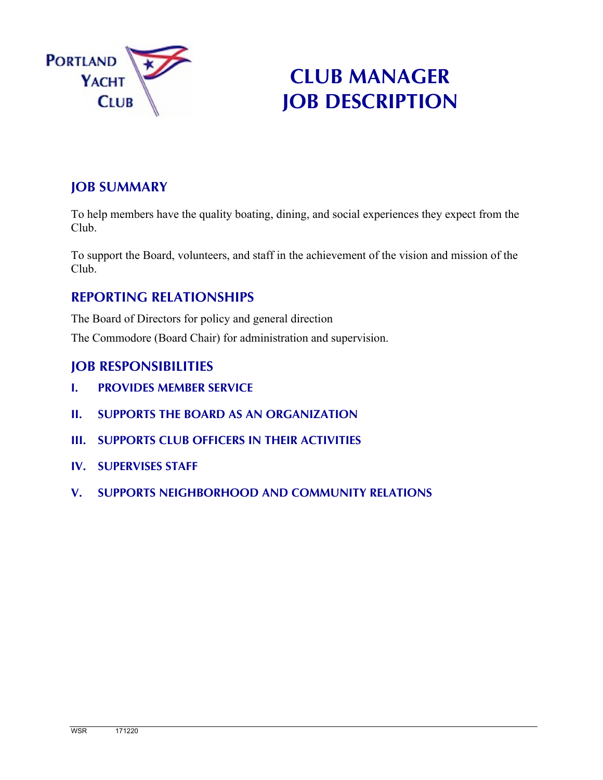

# **CLUB MANAGER JOB DESCRIPTION**

# **JOB SUMMARY**

To help members have the quality boating, dining, and social experiences they expect from the Club.

To support the Board, volunteers, and staff in the achievement of the vision and mission of the Club.

# **REPORTING RELATIONSHIPS**

The Board of Directors for policy and general direction

The Commodore (Board Chair) for administration and supervision.

## **JOB RESPONSIBILITIES**

- **I. PROVIDES MEMBER SERVICE**
- **II. SUPPORTS THE BOARD AS AN ORGANIZATION**
- **III. SUPPORTS CLUB OFFICERS IN THEIR ACTIVITIES**
- **IV. SUPERVISES STAFF**
- **V. SUPPORTS NEIGHBORHOOD AND COMMUNITY RELATIONS**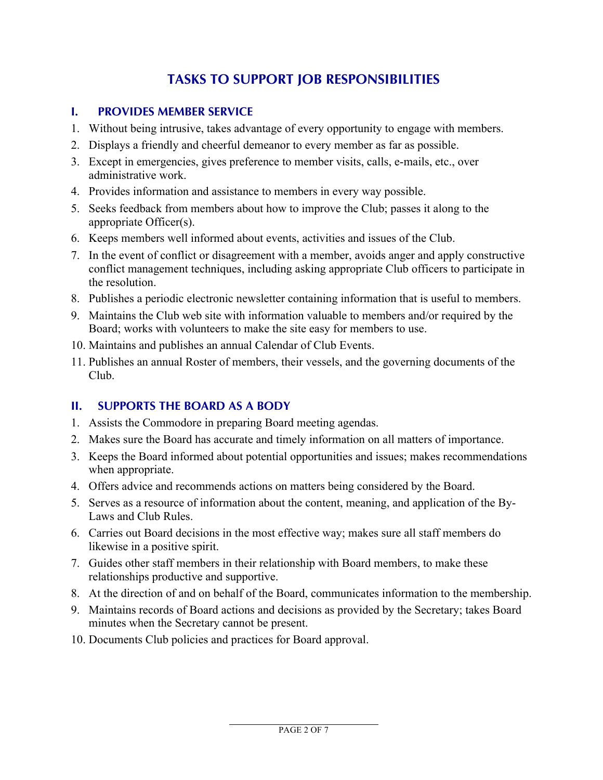# **TASKS TO SUPPORT JOB RESPONSIBILITIES**

#### **I. PROVIDES MEMBER SERVICE**

- 1. Without being intrusive, takes advantage of every opportunity to engage with members.
- 2. Displays a friendly and cheerful demeanor to every member as far as possible.
- 3. Except in emergencies, gives preference to member visits, calls, e-mails, etc., over administrative work.
- 4. Provides information and assistance to members in every way possible.
- 5. Seeks feedback from members about how to improve the Club; passes it along to the appropriate Officer(s).
- 6. Keeps members well informed about events, activities and issues of the Club.
- 7. In the event of conflict or disagreement with a member, avoids anger and apply constructive conflict management techniques, including asking appropriate Club officers to participate in the resolution.
- 8. Publishes a periodic electronic newsletter containing information that is useful to members.
- 9. Maintains the Club web site with information valuable to members and/or required by the Board; works with volunteers to make the site easy for members to use.
- 10. Maintains and publishes an annual Calendar of Club Events.
- 11. Publishes an annual Roster of members, their vessels, and the governing documents of the Club.

#### **II. SUPPORTS THE BOARD AS A BODY**

- 1. Assists the Commodore in preparing Board meeting agendas.
- 2. Makes sure the Board has accurate and timely information on all matters of importance.
- 3. Keeps the Board informed about potential opportunities and issues; makes recommendations when appropriate.
- 4. Offers advice and recommends actions on matters being considered by the Board.
- 5. Serves as a resource of information about the content, meaning, and application of the By-Laws and Club Rules.
- 6. Carries out Board decisions in the most effective way; makes sure all staff members do likewise in a positive spirit.
- 7. Guides other staff members in their relationship with Board members, to make these relationships productive and supportive.
- 8. At the direction of and on behalf of the Board, communicates information to the membership.
- 9. Maintains records of Board actions and decisions as provided by the Secretary; takes Board minutes when the Secretary cannot be present.
- 10. Documents Club policies and practices for Board approval.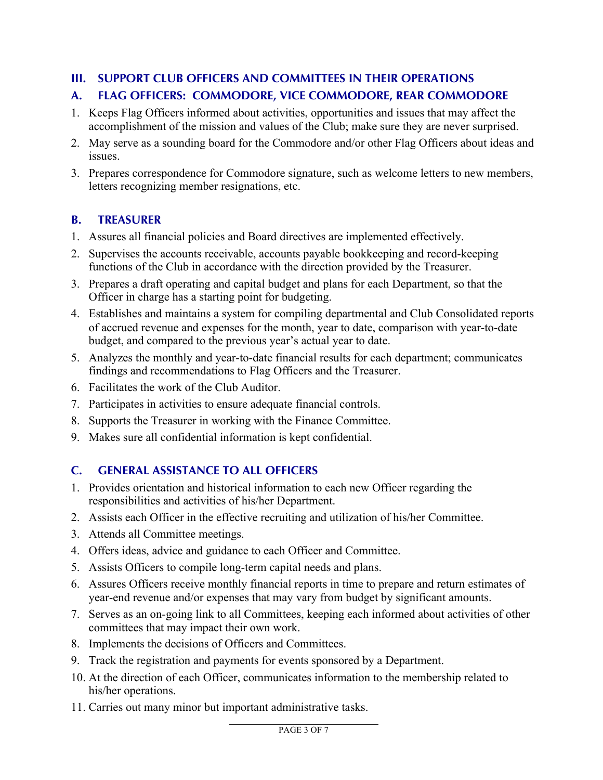#### **III. SUPPORT CLUB OFFICERS AND COMMITTEES IN THEIR OPERATIONS**

## **A. FLAG OFFICERS: COMMODORE, VICE COMMODORE, REAR COMMODORE**

- 1. Keeps Flag Officers informed about activities, opportunities and issues that may affect the accomplishment of the mission and values of the Club; make sure they are never surprised.
- 2. May serve as a sounding board for the Commodore and/or other Flag Officers about ideas and issues.
- 3. Prepares correspondence for Commodore signature, such as welcome letters to new members, letters recognizing member resignations, etc.

## **B. TREASURER**

- 1. Assures all financial policies and Board directives are implemented effectively.
- 2. Supervises the accounts receivable, accounts payable bookkeeping and record-keeping functions of the Club in accordance with the direction provided by the Treasurer.
- 3. Prepares a draft operating and capital budget and plans for each Department, so that the Officer in charge has a starting point for budgeting.
- 4. Establishes and maintains a system for compiling departmental and Club Consolidated reports of accrued revenue and expenses for the month, year to date, comparison with year-to-date budget, and compared to the previous year's actual year to date.
- 5. Analyzes the monthly and year-to-date financial results for each department; communicates findings and recommendations to Flag Officers and the Treasurer.
- 6. Facilitates the work of the Club Auditor.
- 7. Participates in activities to ensure adequate financial controls.
- 8. Supports the Treasurer in working with the Finance Committee.
- 9. Makes sure all confidential information is kept confidential.

# **C. GENERAL ASSISTANCE TO ALL OFFICERS**

- 1. Provides orientation and historical information to each new Officer regarding the responsibilities and activities of his/her Department.
- 2. Assists each Officer in the effective recruiting and utilization of his/her Committee.
- 3. Attends all Committee meetings.
- 4. Offers ideas, advice and guidance to each Officer and Committee.
- 5. Assists Officers to compile long-term capital needs and plans.
- 6. Assures Officers receive monthly financial reports in time to prepare and return estimates of year-end revenue and/or expenses that may vary from budget by significant amounts.
- 7. Serves as an on-going link to all Committees, keeping each informed about activities of other committees that may impact their own work.
- 8. Implements the decisions of Officers and Committees.
- 9. Track the registration and payments for events sponsored by a Department.
- 10. At the direction of each Officer, communicates information to the membership related to his/her operations.
- 11. Carries out many minor but important administrative tasks.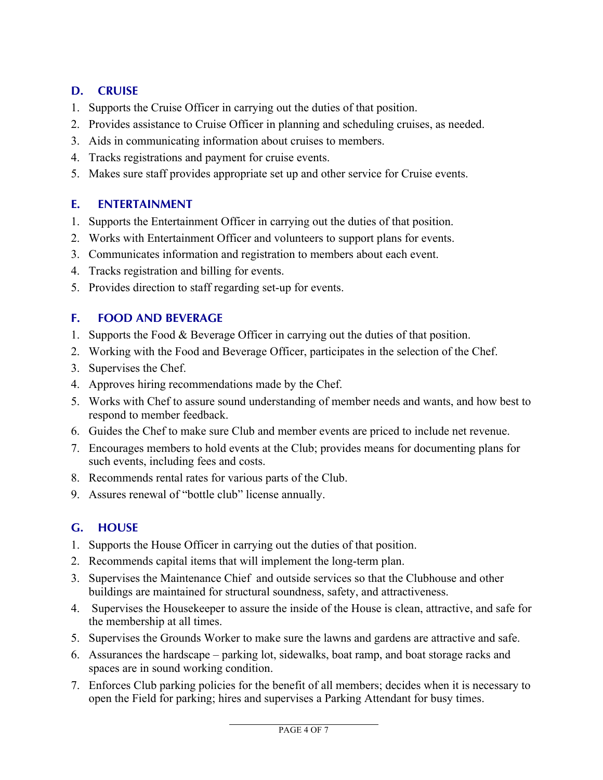#### **D. CRUISE**

- 1. Supports the Cruise Officer in carrying out the duties of that position.
- 2. Provides assistance to Cruise Officer in planning and scheduling cruises, as needed.
- 3. Aids in communicating information about cruises to members.
- 4. Tracks registrations and payment for cruise events.
- 5. Makes sure staff provides appropriate set up and other service for Cruise events.

#### **E. ENTERTAINMENT**

- 1. Supports the Entertainment Officer in carrying out the duties of that position.
- 2. Works with Entertainment Officer and volunteers to support plans for events.
- 3. Communicates information and registration to members about each event.
- 4. Tracks registration and billing for events.
- 5. Provides direction to staff regarding set-up for events.

#### **F. FOOD AND BEVERAGE**

- 1. Supports the Food & Beverage Officer in carrying out the duties of that position.
- 2. Working with the Food and Beverage Officer, participates in the selection of the Chef.
- 3. Supervises the Chef.
- 4. Approves hiring recommendations made by the Chef.
- 5. Works with Chef to assure sound understanding of member needs and wants, and how best to respond to member feedback.
- 6. Guides the Chef to make sure Club and member events are priced to include net revenue.
- 7. Encourages members to hold events at the Club; provides means for documenting plans for such events, including fees and costs.
- 8. Recommends rental rates for various parts of the Club.
- 9. Assures renewal of "bottle club" license annually.

## **G. HOUSE**

- 1. Supports the House Officer in carrying out the duties of that position.
- 2. Recommends capital items that will implement the long-term plan.
- 3. Supervises the Maintenance Chief and outside services so that the Clubhouse and other buildings are maintained for structural soundness, safety, and attractiveness.
- 4. Supervises the Housekeeper to assure the inside of the House is clean, attractive, and safe for the membership at all times.
- 5. Supervises the Grounds Worker to make sure the lawns and gardens are attractive and safe.
- 6. Assurances the hardscape parking lot, sidewalks, boat ramp, and boat storage racks and spaces are in sound working condition.
- 7. Enforces Club parking policies for the benefit of all members; decides when it is necessary to open the Field for parking; hires and supervises a Parking Attendant for busy times.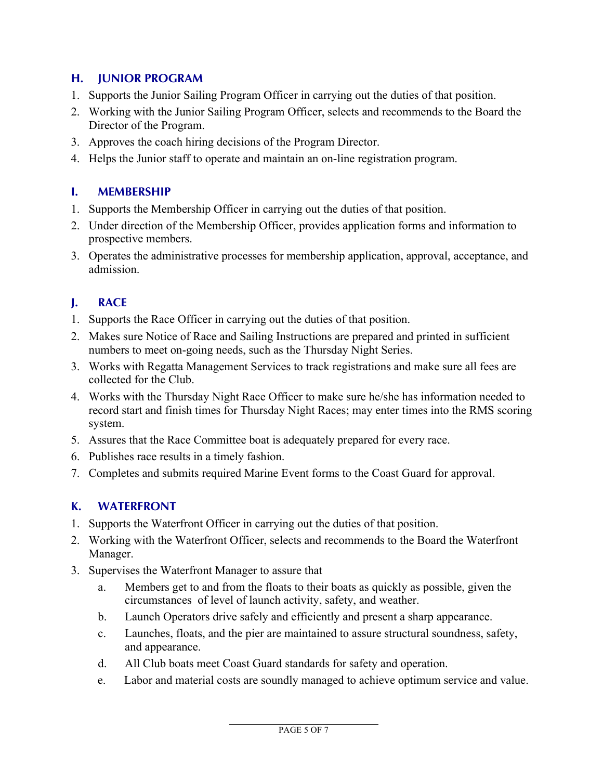#### **H. JUNIOR PROGRAM**

- 1. Supports the Junior Sailing Program Officer in carrying out the duties of that position.
- 2. Working with the Junior Sailing Program Officer, selects and recommends to the Board the Director of the Program.
- 3. Approves the coach hiring decisions of the Program Director.
- 4. Helps the Junior staff to operate and maintain an on-line registration program.

## **I. MEMBERSHIP**

- 1. Supports the Membership Officer in carrying out the duties of that position.
- 2. Under direction of the Membership Officer, provides application forms and information to prospective members.
- 3. Operates the administrative processes for membership application, approval, acceptance, and admission.

# **J. RACE**

- 1. Supports the Race Officer in carrying out the duties of that position.
- 2. Makes sure Notice of Race and Sailing Instructions are prepared and printed in sufficient numbers to meet on-going needs, such as the Thursday Night Series.
- 3. Works with Regatta Management Services to track registrations and make sure all fees are collected for the Club.
- 4. Works with the Thursday Night Race Officer to make sure he/she has information needed to record start and finish times for Thursday Night Races; may enter times into the RMS scoring system.
- 5. Assures that the Race Committee boat is adequately prepared for every race.
- 6. Publishes race results in a timely fashion.
- 7. Completes and submits required Marine Event forms to the Coast Guard for approval.

# **K. WATERFRONT**

- 1. Supports the Waterfront Officer in carrying out the duties of that position.
- 2. Working with the Waterfront Officer, selects and recommends to the Board the Waterfront Manager.
- 3. Supervises the Waterfront Manager to assure that
	- a. Members get to and from the floats to their boats as quickly as possible, given the circumstances of level of launch activity, safety, and weather.
	- b. Launch Operators drive safely and efficiently and present a sharp appearance.
	- c. Launches, floats, and the pier are maintained to assure structural soundness, safety, and appearance.
	- d. All Club boats meet Coast Guard standards for safety and operation.
	- e. Labor and material costs are soundly managed to achieve optimum service and value.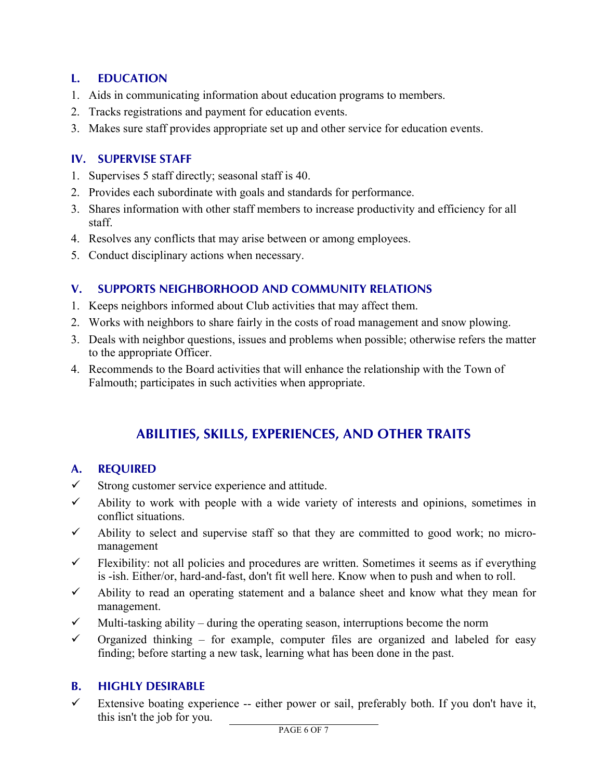#### **L. EDUCATION**

- 1. Aids in communicating information about education programs to members.
- 2. Tracks registrations and payment for education events.
- 3. Makes sure staff provides appropriate set up and other service for education events.

#### **IV. SUPERVISE STAFF**

- 1. Supervises 5 staff directly; seasonal staff is 40.
- 2. Provides each subordinate with goals and standards for performance.
- 3. Shares information with other staff members to increase productivity and efficiency for all staff.
- 4. Resolves any conflicts that may arise between or among employees.
- 5. Conduct disciplinary actions when necessary.

#### **V. SUPPORTS NEIGHBORHOOD AND COMMUNITY RELATIONS**

- 1. Keeps neighbors informed about Club activities that may affect them.
- 2. Works with neighbors to share fairly in the costs of road management and snow plowing.
- 3. Deals with neighbor questions, issues and problems when possible; otherwise refers the matter to the appropriate Officer.
- 4. Recommends to the Board activities that will enhance the relationship with the Town of Falmouth; participates in such activities when appropriate.

# **ABILITIES, SKILLS, EXPERIENCES, AND OTHER TRAITS**

## **A. REQUIRED**

- $\checkmark$  Strong customer service experience and attitude.
- $\checkmark$  Ability to work with people with a wide variety of interests and opinions, sometimes in conflict situations.
- $\checkmark$  Ability to select and supervise staff so that they are committed to good work; no micromanagement
- $\checkmark$  Flexibility: not all policies and procedures are written. Sometimes it seems as if everything is -ish. Either/or, hard-and-fast, don't fit well here. Know when to push and when to roll.
- $\checkmark$  Ability to read an operating statement and a balance sheet and know what they mean for management.
- $\checkmark$  Multi-tasking ability during the operating season, interruptions become the norm
- $\checkmark$  Organized thinking for example, computer files are organized and labeled for easy finding; before starting a new task, learning what has been done in the past.

#### **B. HIGHLY DESIRABLE**

Extensive boating experience -- either power or sail, preferably both. If you don't have it, this isn't the job for you.